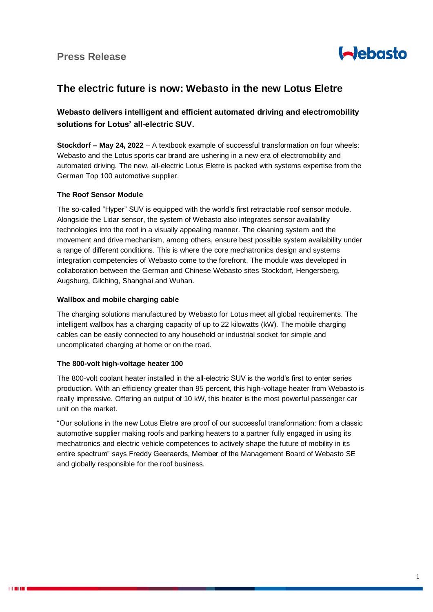

# **The electric future is now: Webasto in the new Lotus Eletre**

## **Webasto delivers intelligent and efficient automated driving and electromobility solutions for Lotus' all-electric SUV.**

**Stockdorf – May 24, 2022** – A textbook example of successful transformation on four wheels: Webasto and the Lotus sports car brand are ushering in a new era of electromobility and automated driving. The new, all-electric Lotus Eletre is packed with systems expertise from the German Top 100 automotive supplier.

### **The Roof Sensor Module**

The so-called "Hyper" SUV is equipped with the world's first retractable roof sensor module. Alongside the Lidar sensor, the system of Webasto also integrates sensor availability technologies into the roof in a visually appealing manner. The cleaning system and the movement and drive mechanism, among others, ensure best possible system availability under a range of different conditions. This is where the core mechatronics design and systems integration competencies of Webasto come to the forefront. The module was developed in collaboration between the German and Chinese Webasto sites Stockdorf, Hengersberg, Augsburg, Gilching, Shanghai and Wuhan.

### **Wallbox and mobile charging cable**

The charging solutions manufactured by Webasto for Lotus meet all global requirements. The intelligent wallbox has a charging capacity of up to 22 kilowatts (kW). The mobile charging cables can be easily connected to any household or industrial socket for simple and uncomplicated charging at home or on the road.

### **The 800-volt high-voltage heater 100**

The 800-volt coolant heater installed in the all-electric SUV is the world's first to enter series production. With an efficiency greater than 95 percent, this high-voltage heater from Webasto is really impressive. Offering an output of 10 kW, this heater is the most powerful passenger car unit on the market.

"Our solutions in the new Lotus Eletre are proof of our successful transformation: from a classic automotive supplier making roofs and parking heaters to a partner fully engaged in using its mechatronics and electric vehicle competences to actively shape the future of mobility in its entire spectrum" says Freddy Geeraerds, Member of the Management Board of Webasto SE and globally responsible for the roof business.